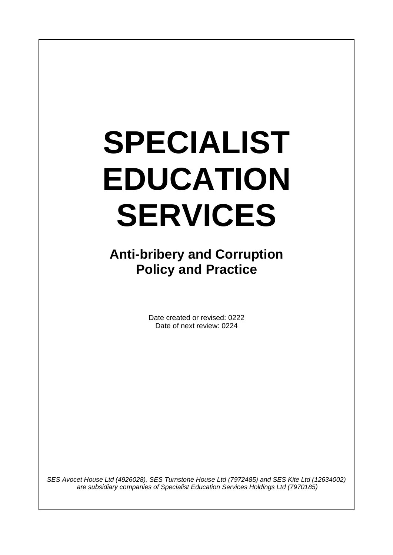# **SPECIALIST EDUCATION SERVICES**

 $\overline{\phantom{a}}$ 

**Anti-bribery and Corruption Policy and Practice**

> Date created or revised: 0222 Date of next review: 0224

*SES Avocet House Ltd (4926028), SES Turnstone House Ltd (7972485) and SES Kite Ltd (12634002) are subsidiary companies of Specialist Education Services Holdings Ltd (7970185)*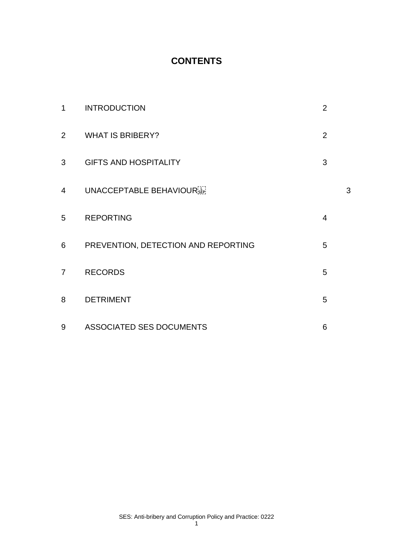# **CONTENTS**

| $\mathbf 1$    | <b>INTRODUCTION</b>                 | $\overline{2}$ |   |
|----------------|-------------------------------------|----------------|---|
| $\overline{2}$ | <b>WHAT IS BRIBERY?</b>             | $\overline{2}$ |   |
| 3              | <b>GIFTS AND HOSPITALITY</b>        | 3              |   |
| $\overline{4}$ | UNACCEPTABLE BEHAVIOURSER           |                | 3 |
| 5              | <b>REPORTING</b>                    | $\overline{4}$ |   |
| 6              | PREVENTION, DETECTION AND REPORTING | 5              |   |
| $\overline{7}$ | <b>RECORDS</b>                      | 5              |   |
| 8              | <b>DETRIMENT</b>                    | 5              |   |
| 9              | ASSOCIATED SES DOCUMENTS            | 6              |   |

1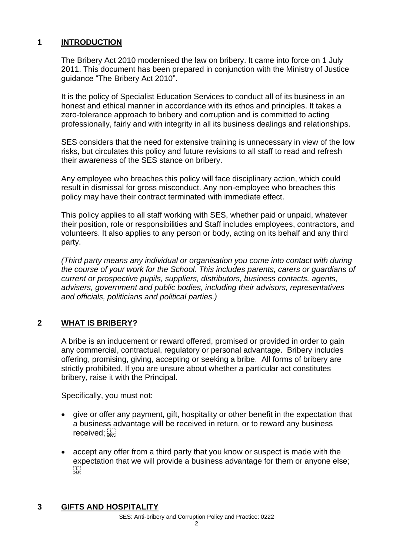### **1 INTRODUCTION**

The Bribery Act 2010 modernised the law on bribery. It came into force on 1 July 2011. This document has been prepared in conjunction with the Ministry of Justice guidance "The Bribery Act 2010".

It is the policy of Specialist Education Services to conduct all of its business in an honest and ethical manner in accordance with its ethos and principles. It takes a zero-tolerance approach to bribery and corruption and is committed to acting professionally, fairly and with integrity in all its business dealings and relationships.

SES considers that the need for extensive training is unnecessary in view of the low risks, but circulates this policy and future revisions to all staff to read and refresh their awareness of the SES stance on bribery.

Any employee who breaches this policy will face disciplinary action, which could result in dismissal for gross misconduct. Any non-employee who breaches this policy may have their contract terminated with immediate effect.

This policy applies to all staff working with SES, whether paid or unpaid, whatever their position, role or responsibilities and Staff includes employees, contractors, and volunteers. It also applies to any person or body, acting on its behalf and any third party.

*(Third party means any individual or organisation you come into contact with during the course of your work for the School. This includes parents, carers or guardians of current or prospective pupils, suppliers, distributors, business contacts, agents, advisers, government and public bodies, including their advisors, representatives and officials, politicians and political parties.)*

# **2 WHAT IS BRIBERY?**

A bribe is an inducement or reward offered, promised or provided in order to gain any commercial, contractual, regulatory or personal advantage. Bribery includes offering, promising, giving, accepting or seeking a bribe. All forms of bribery are strictly prohibited. If you are unsure about whether a particular act constitutes bribery, raise it with the Principal.

Specifically, you must not:

- give or offer any payment, gift, hospitality or other benefit in the expectation that a business advantage will be received in return, or to reward any business received;
- accept any offer from a third party that you know or suspect is made with the expectation that we will provide a business advantage for them or anyone else;  $\frac{1}{2}$

# **3 GIFTS AND HOSPITALITY**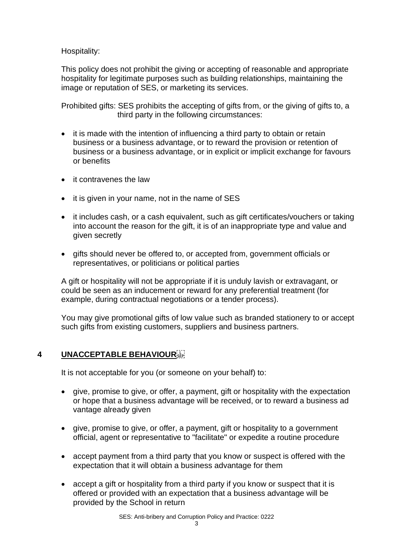Hospitality:

This policy does not prohibit the giving or accepting of reasonable and appropriate hospitality for legitimate purposes such as building relationships, maintaining the image or reputation of SES, or marketing its services.

Prohibited gifts: SES prohibits the accepting of gifts from, or the giving of gifts to, a third party in the following circumstances:

- it is made with the intention of influencing a third party to obtain or retain business or a business advantage, or to reward the provision or retention of business or a business advantage, or in explicit or implicit exchange for favours or benefits
- it contravenes the law
- it is given in your name, not in the name of SES
- it includes cash, or a cash equivalent, such as gift certificates/vouchers or taking into account the reason for the gift, it is of an inappropriate type and value and given secretly
- gifts should never be offered to, or accepted from, government officials or representatives, or politicians or political parties

A gift or hospitality will not be appropriate if it is unduly lavish or extravagant, or could be seen as an inducement or reward for any preferential treatment (for example, during contractual negotiations or a tender process).

You may give promotional gifts of low value such as branded stationery to or accept such gifts from existing customers, suppliers and business partners.

# **4 UNACCEPTABLE BEHAVIOUR**

It is not acceptable for you (or someone on your behalf) to:

- give, promise to give, or offer, a payment, gift or hospitality with the expectation or hope that a business advantage will be received, or to reward a business ad vantage already given
- give, promise to give, or offer, a payment, gift or hospitality to a government official, agent or representative to "facilitate" or expedite a routine procedure
- accept payment from a third party that you know or suspect is offered with the expectation that it will obtain a business advantage for them
- accept a gift or hospitality from a third party if you know or suspect that it is offered or provided with an expectation that a business advantage will be provided by the School in return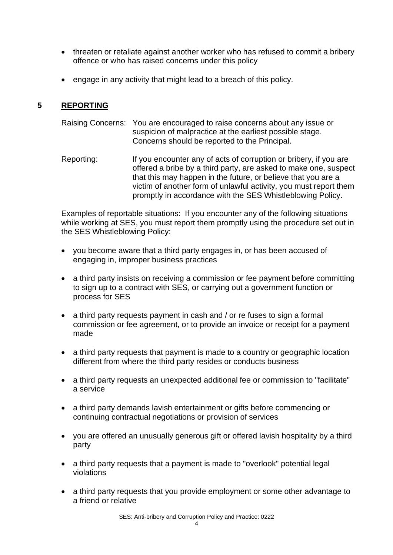- threaten or retaliate against another worker who has refused to commit a bribery offence or who has raised concerns under this policy
- engage in any activity that might lead to a breach of this policy.

# **5 REPORTING**

- Raising Concerns: You are encouraged to raise concerns about any issue or suspicion of malpractice at the earliest possible stage. Concerns should be reported to the Principal.
- Reporting: If you encounter any of acts of corruption or bribery, if you are offered a bribe by a third party, are asked to make one, suspect that this may happen in the future, or believe that you are a victim of another form of unlawful activity, you must report them promptly in accordance with the SES Whistleblowing Policy.

Examples of reportable situations: If you encounter any of the following situations while working at SES, you must report them promptly using the procedure set out in the SES Whistleblowing Policy:

- you become aware that a third party engages in, or has been accused of engaging in, improper business practices
- a third party insists on receiving a commission or fee payment before committing to sign up to a contract with SES, or carrying out a government function or process for SES
- a third party requests payment in cash and / or re fuses to sign a formal commission or fee agreement, or to provide an invoice or receipt for a payment made
- a third party requests that payment is made to a country or geographic location different from where the third party resides or conducts business
- a third party requests an unexpected additional fee or commission to "facilitate" a service
- a third party demands lavish entertainment or gifts before commencing or continuing contractual negotiations or provision of services
- you are offered an unusually generous gift or offered lavish hospitality by a third party
- a third party requests that a payment is made to "overlook" potential legal violations
- a third party requests that you provide employment or some other advantage to a friend or relative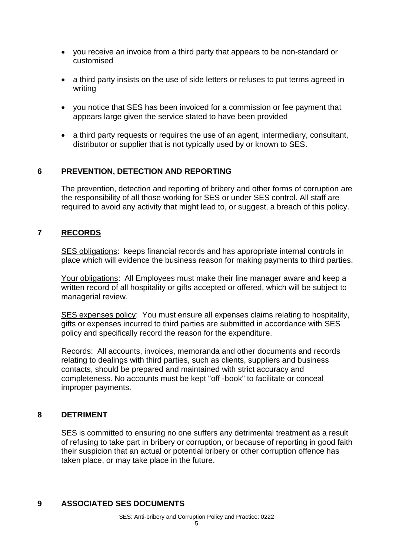- you receive an invoice from a third party that appears to be non-standard or customised
- a third party insists on the use of side letters or refuses to put terms agreed in writing
- you notice that SES has been invoiced for a commission or fee payment that appears large given the service stated to have been provided
- a third party requests or requires the use of an agent, intermediary, consultant, distributor or supplier that is not typically used by or known to SES.

### **6 PREVENTION, DETECTION AND REPORTING**

The prevention, detection and reporting of bribery and other forms of corruption are the responsibility of all those working for SES or under SES control. All staff are required to avoid any activity that might lead to, or suggest, a breach of this policy.

### **7 RECORDS**

SES obligations: keeps financial records and has appropriate internal controls in place which will evidence the business reason for making payments to third parties.

Your obligations: All Employees must make their line manager aware and keep a written record of all hospitality or gifts accepted or offered, which will be subject to managerial review.

SES expenses policy: You must ensure all expenses claims relating to hospitality, gifts or expenses incurred to third parties are submitted in accordance with SES policy and specifically record the reason for the expenditure.

Records: All accounts, invoices, memoranda and other documents and records relating to dealings with third parties, such as clients, suppliers and business contacts, should be prepared and maintained with strict accuracy and completeness. No accounts must be kept "off -book" to facilitate or conceal improper payments.

#### **8 DETRIMENT**

SES is committed to ensuring no one suffers any detrimental treatment as a result of refusing to take part in bribery or corruption, or because of reporting in good faith their suspicion that an actual or potential bribery or other corruption offence has taken place, or may take place in the future.

### **9 ASSOCIATED SES DOCUMENTS**